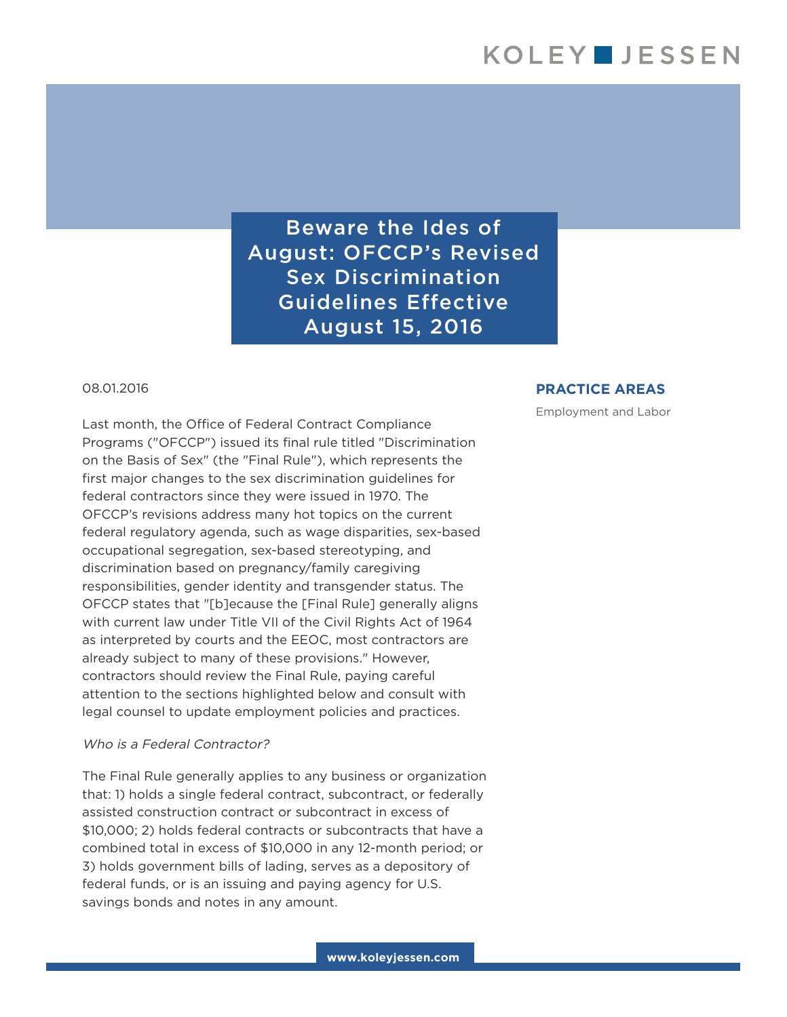Beware the Ides of August: OFCCP's Revised Sex Discrimination Guidelines Effective August 15, 2016

### 08.01.2016

Last month, the Office of Federal Contract Compliance Programs ("OFCCP") issued its final rule titled "Discrimination on the Basis of Sex" (the "Final Rule"), which represents the first major changes to the sex discrimination guidelines for federal contractors since they were issued in 1970. The OFCCP's revisions address many hot topics on the current federal regulatory agenda, such as wage disparities, sex-based occupational segregation, sex-based stereotyping, and discrimination based on pregnancy/family caregiving responsibilities, gender identity and transgender status. The OFCCP states that "[b]ecause the [Final Rule] generally aligns with current law under Title VII of the Civil Rights Act of 1964 as interpreted by courts and the EEOC, most contractors are already subject to many of these provisions." However, contractors should review the Final Rule, paying careful attention to the sections highlighted below and consult with legal counsel to update employment policies and practices.

### Who is a Federal Contractor?

The Final Rule generally applies to any business or organization that: 1) holds a single federal contract, subcontract, or federally assisted construction contract or subcontract in excess of \$10,000; 2) holds federal contracts or subcontracts that have a combined total in excess of \$10,000 in any 12-month period; or 3) holds government bills of lading, serves as a depository of federal funds, or is an issuing and paying agency for U.S. savings bonds and notes in any amount.

### **PRACTICE AREAS**

Employment and Labor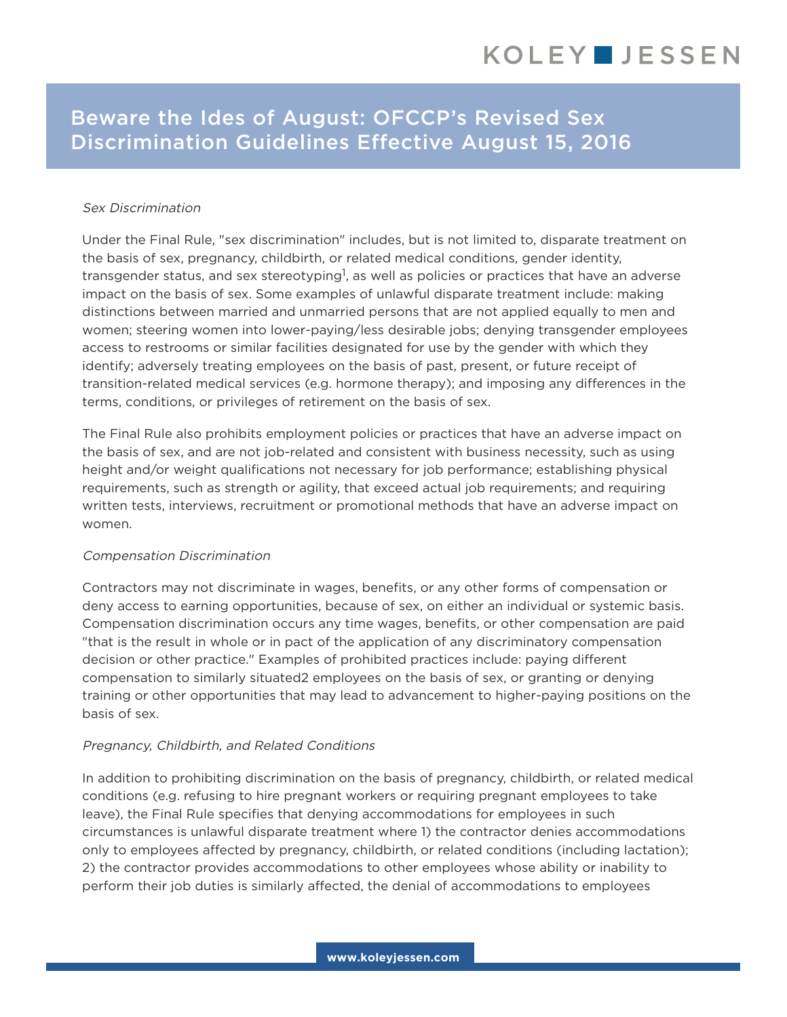# Beware the Ides of August: OFCCP's Revised Sex Discrimination Guidelines Effective August 15, 2016

## Sex Discrimination

Under the Final Rule, "sex discrimination" includes, but is not limited to, disparate treatment on the basis of sex, pregnancy, childbirth, or related medical conditions, gender identity, transgender status, and sex stereotyping<sup>1</sup>, as well as policies or practices that have an adverse impact on the basis of sex. Some examples of unlawful disparate treatment include: making distinctions between married and unmarried persons that are not applied equally to men and women; steering women into lower-paying/less desirable jobs; denying transgender employees access to restrooms or similar facilities designated for use by the gender with which they identify; adversely treating employees on the basis of past, present, or future receipt of transition-related medical services (e.g. hormone therapy); and imposing any differences in the terms, conditions, or privileges of retirement on the basis of sex.

The Final Rule also prohibits employment policies or practices that have an adverse impact on the basis of sex, and are not job-related and consistent with business necessity, such as using height and/or weight qualifications not necessary for job performance; establishing physical requirements, such as strength or agility, that exceed actual job requirements; and requiring written tests, interviews, recruitment or promotional methods that have an adverse impact on women.

### Compensation Discrimination

Contractors may not discriminate in wages, benefits, or any other forms of compensation or deny access to earning opportunities, because of sex, on either an individual or systemic basis. Compensation discrimination occurs any time wages, benefits, or other compensation are paid "that is the result in whole or in pact of the application of any discriminatory compensation decision or other practice." Examples of prohibited practices include: paying different compensation to similarly situated2 employees on the basis of sex, or granting or denying training or other opportunities that may lead to advancement to higher-paying positions on the basis of sex.

### Pregnancy, Childbirth, and Related Conditions

In addition to prohibiting discrimination on the basis of pregnancy, childbirth, or related medical conditions (e.g. refusing to hire pregnant workers or requiring pregnant employees to take leave), the Final Rule specifies that denying accommodations for employees in such circumstances is unlawful disparate treatment where 1) the contractor denies accommodations only to employees affected by pregnancy, childbirth, or related conditions (including lactation); 2) the contractor provides accommodations to other employees whose ability or inability to perform their job duties is similarly affected, the denial of accommodations to employees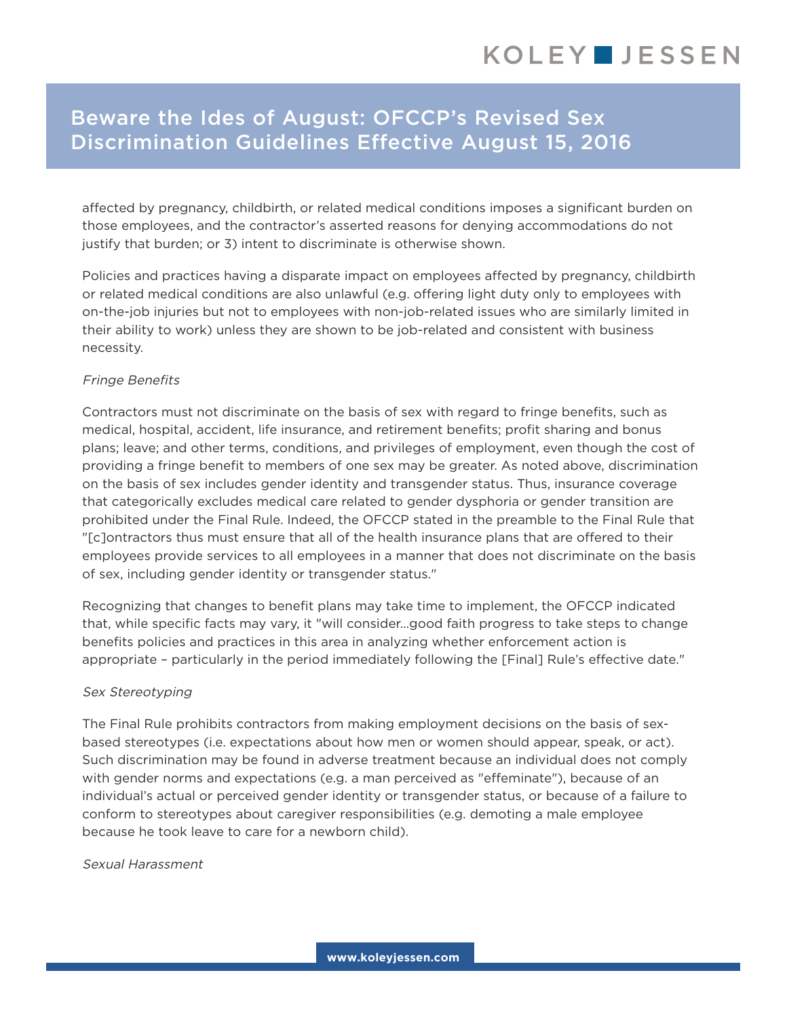# Beware the Ides of August: OFCCP's Revised Sex Discrimination Guidelines Effective August 15, 2016

affected by pregnancy, childbirth, or related medical conditions imposes a significant burden on those employees, and the contractor's asserted reasons for denying accommodations do not justify that burden; or 3) intent to discriminate is otherwise shown.

Policies and practices having a disparate impact on employees affected by pregnancy, childbirth or related medical conditions are also unlawful (e.g. offering light duty only to employees with on-the-job injuries but not to employees with non-job-related issues who are similarly limited in their ability to work) unless they are shown to be job-related and consistent with business necessity.

## Fringe Benefits

Contractors must not discriminate on the basis of sex with regard to fringe benefits, such as medical, hospital, accident, life insurance, and retirement benefits; profit sharing and bonus plans; leave; and other terms, conditions, and privileges of employment, even though the cost of providing a fringe benefit to members of one sex may be greater. As noted above, discrimination on the basis of sex includes gender identity and transgender status. Thus, insurance coverage that categorically excludes medical care related to gender dysphoria or gender transition are prohibited under the Final Rule. Indeed, the OFCCP stated in the preamble to the Final Rule that "[c]ontractors thus must ensure that all of the health insurance plans that are offered to their employees provide services to all employees in a manner that does not discriminate on the basis of sex, including gender identity or transgender status."

Recognizing that changes to benefit plans may take time to implement, the OFCCP indicated that, while specific facts may vary, it "will consider…good faith progress to take steps to change benefits policies and practices in this area in analyzing whether enforcement action is appropriate – particularly in the period immediately following the [Final] Rule's effective date."

## Sex Stereotyping

The Final Rule prohibits contractors from making employment decisions on the basis of sexbased stereotypes (i.e. expectations about how men or women should appear, speak, or act). Such discrimination may be found in adverse treatment because an individual does not comply with gender norms and expectations (e.g. a man perceived as "effeminate"), because of an individual's actual or perceived gender identity or transgender status, or because of a failure to conform to stereotypes about caregiver responsibilities (e.g. demoting a male employee because he took leave to care for a newborn child).

Sexual Harassment